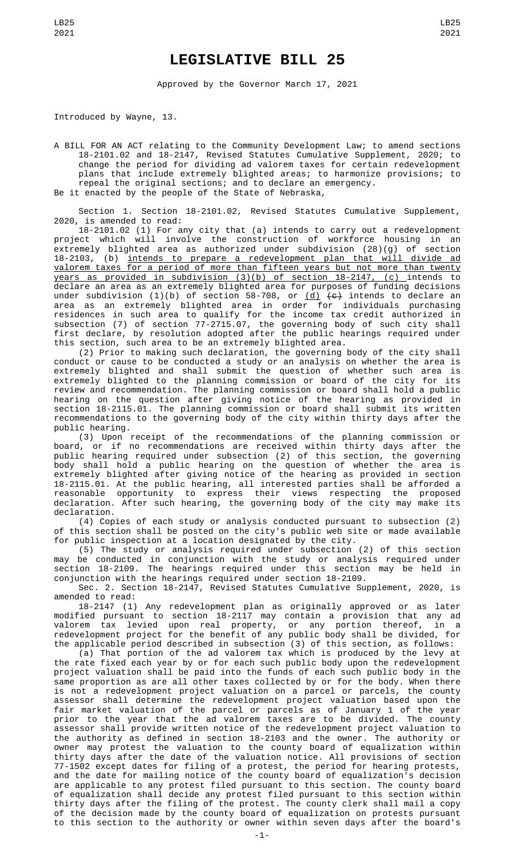## **LEGISLATIVE BILL 25**

Approved by the Governor March 17, 2021

Introduced by Wayne, 13.

A BILL FOR AN ACT relating to the Community Development Law; to amend sections 18-2101.02 and 18-2147, Revised Statutes Cumulative Supplement, 2020; to change the period for dividing ad valorem taxes for certain redevelopment plans that include extremely blighted areas; to harmonize provisions; to repeal the original sections; and to declare an emergency. Be it enacted by the people of the State of Nebraska,

Section 1. Section 18-2101.02, Revised Statutes Cumulative Supplement, 2020, is amended to read:

18-2101.02 (1) For any city that (a) intends to carry out a redevelopment project which will involve the construction of workforce housing in an extremely blighted area as authorized under subdivision (28)(g) of section 18-2103, (b) intends to prepare a redevelopment plan that will divide ad valorem taxes for a period of more than fifteen years but not more than twenty years as provided in subdivision (3)(b) of section 18-2147, (c) intends to declare an area as an extremely blighted area for purposes of funding decisions under subdivision (1)(b) of section 58-708, or <u>(d)</u> <del>(c)</del> intends to declare an area as an extremely blighted area in order for individuals purchasing residences in such area to qualify for the income tax credit authorized in subsection (7) of section 77-2715.07, the governing body of such city shall first declare, by resolution adopted after the public hearings required under this section, such area to be an extremely blighted area.

(2) Prior to making such declaration, the governing body of the city shall conduct or cause to be conducted a study or an analysis on whether the area is extremely blighted and shall submit the question of whether such area is extremely blighted to the planning commission or board of the city for its review and recommendation. The planning commission or board shall hold a public hearing on the question after giving notice of the hearing as provided in section 18-2115.01. The planning commission or board shall submit its written recommendations to the governing body of the city within thirty days after the public hearing.

(3) Upon receipt of the recommendations of the planning commission or board, or if no recommendations are received within thirty days after the public hearing required under subsection (2) of this section, the governing body shall hold a public hearing on the question of whether the area is extremely blighted after giving notice of the hearing as provided in section 18-2115.01. At the public hearing, all interested parties shall be afforded a reasonable opportunity to express their views respecting the proposed declaration. After such hearing, the governing body of the city may make its declaration.

(4) Copies of each study or analysis conducted pursuant to subsection (2) of this section shall be posted on the city's public web site or made available for public inspection at a location designated by the city.

(5) The study or analysis required under subsection (2) of this section may be conducted in conjunction with the study or analysis required under section 18-2109. The hearings required under this section may be held in conjunction with the hearings required under section 18-2109.

Sec. 2. Section 18-2147, Revised Statutes Cumulative Supplement, 2020, is amended to read:

18-2147 (1) Any redevelopment plan as originally approved or as later modified pursuant to section 18-2117 may contain a provision that any ad valorem tax levied upon real property, or any portion thereof, in a redevelopment project for the benefit of any public body shall be divided, for the applicable period described in subsection (3) of this section, as follows:

(a) That portion of the ad valorem tax which is produced by the levy at the rate fixed each year by or for each such public body upon the redevelopment project valuation shall be paid into the funds of each such public body in the same proportion as are all other taxes collected by or for the body. When there is not a redevelopment project valuation on a parcel or parcels, the county assessor shall determine the redevelopment project valuation based upon the fair market valuation of the parcel or parcels as of January 1 of the year prior to the year that the ad valorem taxes are to be divided. The county assessor shall provide written notice of the redevelopment project valuation to the authority as defined in section 18-2103 and the owner. The authority or owner may protest the valuation to the county board of equalization within thirty days after the date of the valuation notice. All provisions of section 77-1502 except dates for filing of a protest, the period for hearing protests, and the date for mailing notice of the county board of equalization's decision are applicable to any protest filed pursuant to this section. The county board of equalization shall decide any protest filed pursuant to this section within thirty days after the filing of the protest. The county clerk shall mail a copy of the decision made by the county board of equalization on protests pursuant to this section to the authority or owner within seven days after the board's